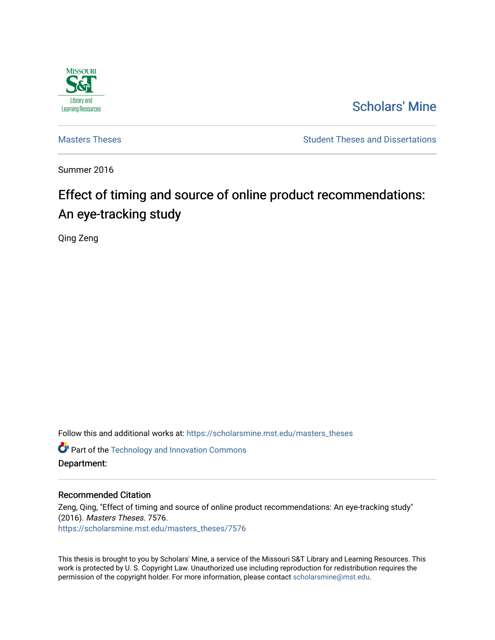

# [Scholars' Mine](https://scholarsmine.mst.edu/)

[Masters Theses](https://scholarsmine.mst.edu/masters_theses) **Student Theses and Dissertations** Student Theses and Dissertations

Summer 2016

# Effect of timing and source of online product recommendations: An eye-tracking study

Qing Zeng

Follow this and additional works at: [https://scholarsmine.mst.edu/masters\\_theses](https://scholarsmine.mst.edu/masters_theses?utm_source=scholarsmine.mst.edu%2Fmasters_theses%2F7576&utm_medium=PDF&utm_campaign=PDFCoverPages) 

**Part of the [Technology and Innovation Commons](http://network.bepress.com/hgg/discipline/644?utm_source=scholarsmine.mst.edu%2Fmasters_theses%2F7576&utm_medium=PDF&utm_campaign=PDFCoverPages)** Department:

## Recommended Citation

Zeng, Qing, "Effect of timing and source of online product recommendations: An eye-tracking study" (2016). Masters Theses. 7576. [https://scholarsmine.mst.edu/masters\\_theses/7576](https://scholarsmine.mst.edu/masters_theses/7576?utm_source=scholarsmine.mst.edu%2Fmasters_theses%2F7576&utm_medium=PDF&utm_campaign=PDFCoverPages) 

This thesis is brought to you by Scholars' Mine, a service of the Missouri S&T Library and Learning Resources. This work is protected by U. S. Copyright Law. Unauthorized use including reproduction for redistribution requires the permission of the copyright holder. For more information, please contact [scholarsmine@mst.edu](mailto:scholarsmine@mst.edu).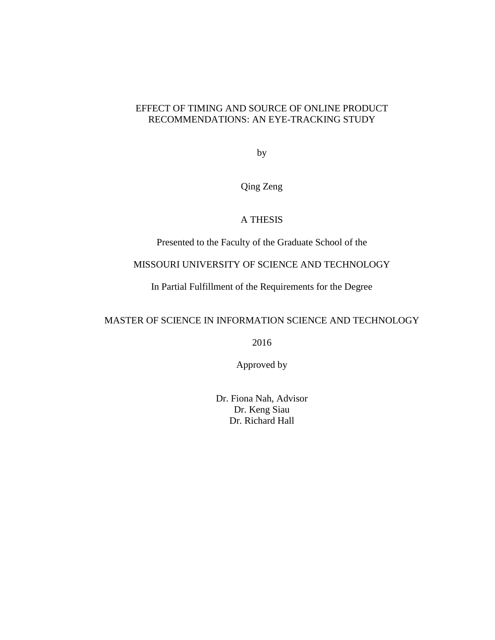# EFFECT OF TIMING AND SOURCE OF ONLINE PRODUCT RECOMMENDATIONS: AN EYE-TRACKING STUDY

by

Qing Zeng

# A THESIS

Presented to the Faculty of the Graduate School of the

# MISSOURI UNIVERSITY OF SCIENCE AND TECHNOLOGY

In Partial Fulfillment of the Requirements for the Degree

# MASTER OF SCIENCE IN INFORMATION SCIENCE AND TECHNOLOGY

2016

Approved by

Dr. Fiona Nah, Advisor Dr. Keng Siau Dr. Richard Hall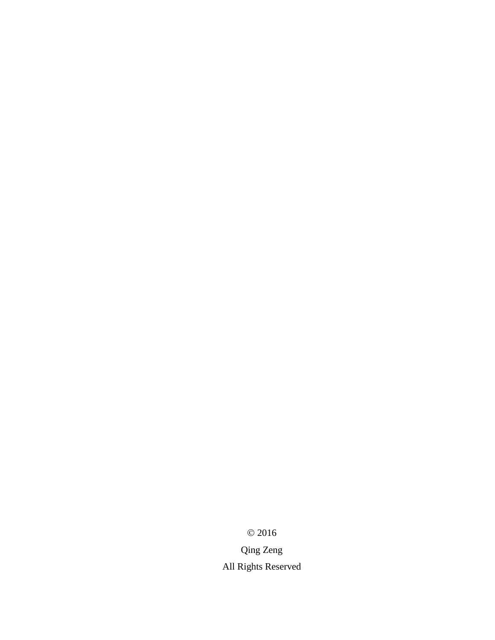$© 2016$ 

Qing Zeng All Rights Reserved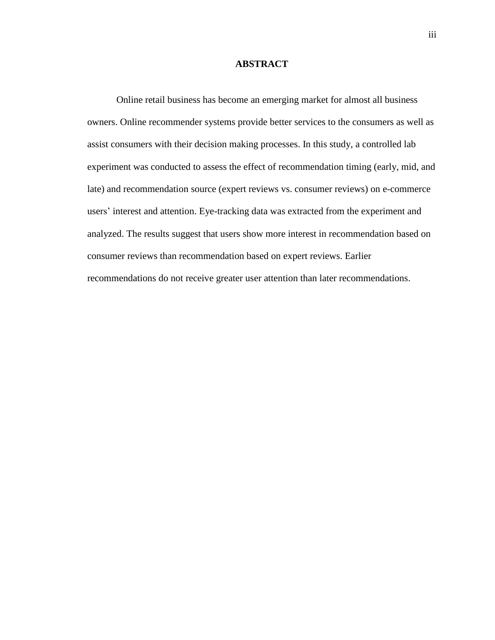## **ABSTRACT**

Online retail business has become an emerging market for almost all business owners. Online recommender systems provide better services to the consumers as well as assist consumers with their decision making processes. In this study, a controlled lab experiment was conducted to assess the effect of recommendation timing (early, mid, and late) and recommendation source (expert reviews vs. consumer reviews) on e-commerce users' interest and attention. Eye-tracking data was extracted from the experiment and analyzed. The results suggest that users show more interest in recommendation based on consumer reviews than recommendation based on expert reviews. Earlier recommendations do not receive greater user attention than later recommendations.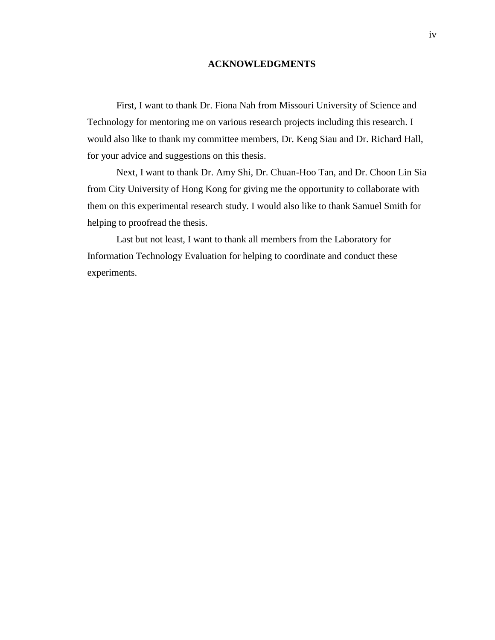## **ACKNOWLEDGMENTS**

First, I want to thank Dr. Fiona Nah from Missouri University of Science and Technology for mentoring me on various research projects including this research. I would also like to thank my committee members, Dr. Keng Siau and Dr. Richard Hall, for your advice and suggestions on this thesis.

Next, I want to thank Dr. Amy Shi, Dr. Chuan-Hoo Tan, and Dr. Choon Lin Sia from City University of Hong Kong for giving me the opportunity to collaborate with them on this experimental research study. I would also like to thank Samuel Smith for helping to proofread the thesis.

Last but not least, I want to thank all members from the Laboratory for Information Technology Evaluation for helping to coordinate and conduct these experiments.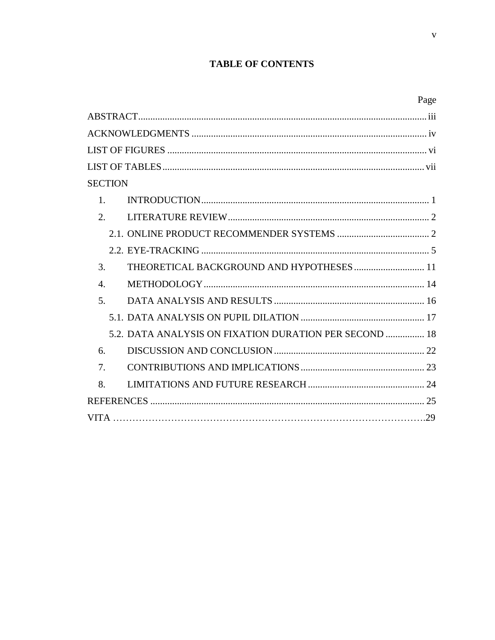# **TABLE OF CONTENTS**

| Page                                                   |
|--------------------------------------------------------|
|                                                        |
|                                                        |
|                                                        |
|                                                        |
| SECTION                                                |
| $1_{-}$                                                |
| $\overline{2}$ .                                       |
|                                                        |
|                                                        |
| 3.                                                     |
| $\overline{4}$ .                                       |
| 5 <sub>1</sub>                                         |
|                                                        |
| 5.2. DATA ANALYSIS ON FIXATION DURATION PER SECOND  18 |
| 6.                                                     |
| $\tau$                                                 |
| 8.                                                     |
| 25                                                     |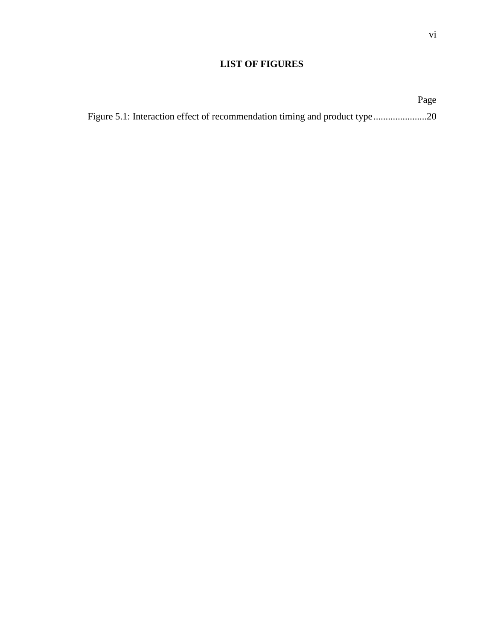# **LIST OF FIGURES**

|  | Page |
|--|------|
|  |      |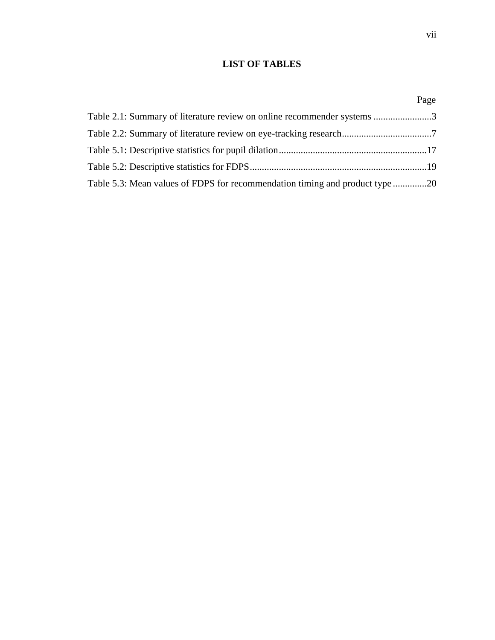# **LIST OF TABLES**

|                                                                              | Page |
|------------------------------------------------------------------------------|------|
| Table 2.1: Summary of literature review on online recommender systems 3      |      |
|                                                                              |      |
|                                                                              |      |
|                                                                              |      |
| Table 5.3: Mean values of FDPS for recommendation timing and product type 20 |      |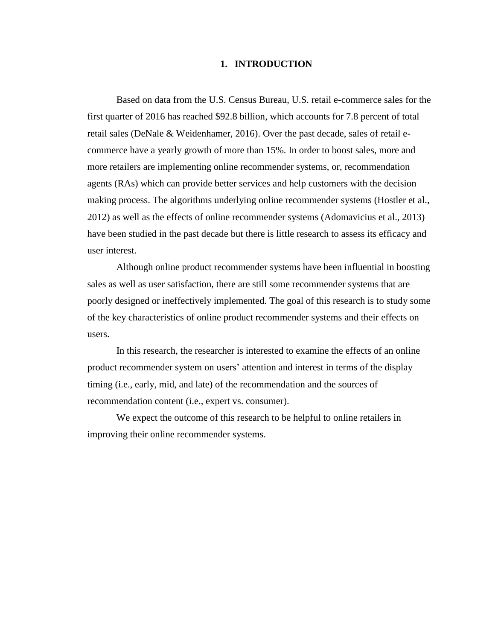## **1. INTRODUCTION**

Based on data from the U.S. Census Bureau, U.S. retail e-commerce sales for the first quarter of 2016 has reached \$92.8 billion, which accounts for 7.8 percent of total retail sales (DeNale & Weidenhamer, 2016). Over the past decade, sales of retail ecommerce have a yearly growth of more than 15%. In order to boost sales, more and more retailers are implementing online recommender systems, or, recommendation agents (RAs) which can provide better services and help customers with the decision making process. The algorithms underlying online recommender systems (Hostler et al., 2012) as well as the effects of online recommender systems (Adomavicius et al., 2013) have been studied in the past decade but there is little research to assess its efficacy and user interest.

Although online product recommender systems have been influential in boosting sales as well as user satisfaction, there are still some recommender systems that are poorly designed or ineffectively implemented. The goal of this research is to study some of the key characteristics of online product recommender systems and their effects on users.

In this research, the researcher is interested to examine the effects of an online product recommender system on users' attention and interest in terms of the display timing (i.e., early, mid, and late) of the recommendation and the sources of recommendation content (i.e., expert vs. consumer).

We expect the outcome of this research to be helpful to online retailers in improving their online recommender systems.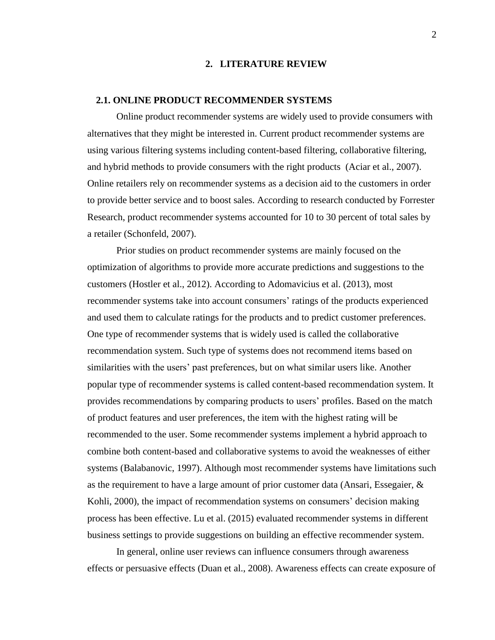#### **2. LITERATURE REVIEW**

## **2.1. ONLINE PRODUCT RECOMMENDER SYSTEMS**

Online product recommender systems are widely used to provide consumers with alternatives that they might be interested in. Current product recommender systems are using various filtering systems including content-based filtering, collaborative filtering, and hybrid methods to provide consumers with the right products (Aciar et al., 2007). Online retailers rely on recommender systems as a decision aid to the customers in order to provide better service and to boost sales. According to research conducted by Forrester Research, product recommender systems accounted for 10 to 30 percent of total sales by a retailer (Schonfeld, 2007).

Prior studies on product recommender systems are mainly focused on the optimization of algorithms to provide more accurate predictions and suggestions to the customers (Hostler et al., 2012). According to Adomavicius et al. (2013), most recommender systems take into account consumers' ratings of the products experienced and used them to calculate ratings for the products and to predict customer preferences. One type of recommender systems that is widely used is called the collaborative recommendation system. Such type of systems does not recommend items based on similarities with the users' past preferences, but on what similar users like. Another popular type of recommender systems is called content-based recommendation system. It provides recommendations by comparing products to users' profiles. Based on the match of product features and user preferences, the item with the highest rating will be recommended to the user. Some recommender systems implement a hybrid approach to combine both content-based and collaborative systems to avoid the weaknesses of either systems (Balabanovic, 1997). Although most recommender systems have limitations such as the requirement to have a large amount of prior customer data (Ansari, Essegaier, & Kohli, 2000), the impact of recommendation systems on consumers' decision making process has been effective. Lu et al. (2015) evaluated recommender systems in different business settings to provide suggestions on building an effective recommender system.

In general, online user reviews can influence consumers through awareness effects or persuasive effects (Duan et al., 2008). Awareness effects can create exposure of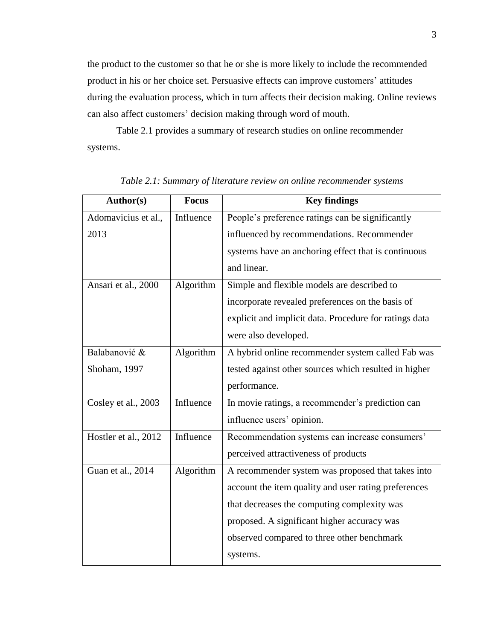the product to the customer so that he or she is more likely to include the recommended product in his or her choice set. Persuasive effects can improve customers' attitudes during the evaluation process, which in turn affects their decision making. Online reviews can also affect customers' decision making through word of mouth.

Table 2.1 provides a summary of research studies on online recommender systems.

| Author(s)            | <b>Focus</b> | <b>Key findings</b>                                    |
|----------------------|--------------|--------------------------------------------------------|
| Adomavicius et al.,  | Influence    | People's preference ratings can be significantly       |
| 2013                 |              | influenced by recommendations. Recommender             |
|                      |              | systems have an anchoring effect that is continuous    |
|                      |              | and linear.                                            |
| Ansari et al., 2000  | Algorithm    | Simple and flexible models are described to            |
|                      |              | incorporate revealed preferences on the basis of       |
|                      |              | explicit and implicit data. Procedure for ratings data |
|                      |              | were also developed.                                   |
| Balabanović &        | Algorithm    | A hybrid online recommender system called Fab was      |
| Shoham, 1997         |              | tested against other sources which resulted in higher  |
|                      |              | performance.                                           |
| Cosley et al., 2003  | Influence    | In movie ratings, a recommender's prediction can       |
|                      |              | influence users' opinion.                              |
| Hostler et al., 2012 | Influence    | Recommendation systems can increase consumers'         |
|                      |              | perceived attractiveness of products                   |
| Guan et al., 2014    | Algorithm    | A recommender system was proposed that takes into      |
|                      |              | account the item quality and user rating preferences   |
|                      |              | that decreases the computing complexity was            |
|                      |              | proposed. A significant higher accuracy was            |
|                      |              | observed compared to three other benchmark             |
|                      |              | systems.                                               |

*Table 2.1: Summary of literature review on online recommender systems*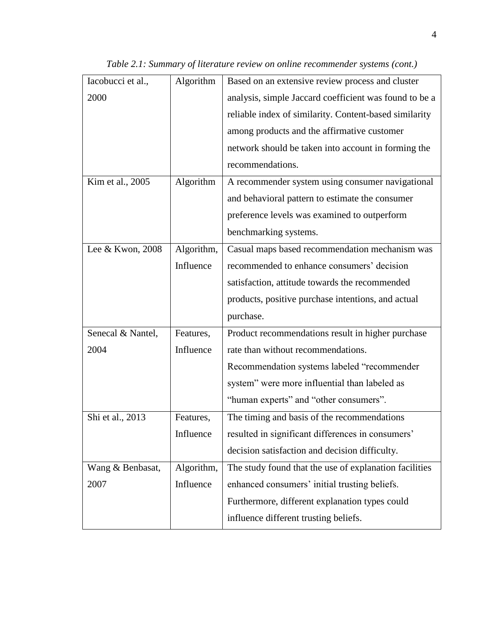| Iacobucci et al., | Algorithm  | Based on an extensive review process and cluster       |  |  |
|-------------------|------------|--------------------------------------------------------|--|--|
| 2000              |            | analysis, simple Jaccard coefficient was found to be a |  |  |
|                   |            | reliable index of similarity. Content-based similarity |  |  |
|                   |            | among products and the affirmative customer            |  |  |
|                   |            | network should be taken into account in forming the    |  |  |
|                   |            | recommendations.                                       |  |  |
| Kim et al., 2005  | Algorithm  | A recommender system using consumer navigational       |  |  |
|                   |            | and behavioral pattern to estimate the consumer        |  |  |
|                   |            | preference levels was examined to outperform           |  |  |
|                   |            | benchmarking systems.                                  |  |  |
| Lee & Kwon, 2008  | Algorithm, | Casual maps based recommendation mechanism was         |  |  |
|                   | Influence  | recommended to enhance consumers' decision             |  |  |
|                   |            | satisfaction, attitude towards the recommended         |  |  |
|                   |            | products, positive purchase intentions, and actual     |  |  |
|                   |            | purchase.                                              |  |  |
| Senecal & Nantel, | Features,  | Product recommendations result in higher purchase      |  |  |
| 2004              | Influence  | rate than without recommendations.                     |  |  |
|                   |            | Recommendation systems labeled "recommender            |  |  |
|                   |            | system" were more influential than labeled as          |  |  |
|                   |            | "human experts" and "other consumers".                 |  |  |
| Shi et al., 2013  | Features,  | The timing and basis of the recommendations            |  |  |
|                   | Influence  | resulted in significant differences in consumers'      |  |  |
|                   |            | decision satisfaction and decision difficulty.         |  |  |
| Wang & Benbasat,  | Algorithm, | The study found that the use of explanation facilities |  |  |
| 2007              | Influence  | enhanced consumers' initial trusting beliefs.          |  |  |
|                   |            | Furthermore, different explanation types could         |  |  |
|                   |            | influence different trusting beliefs.                  |  |  |
|                   |            |                                                        |  |  |

*Table 2.1: Summary of literature review on online recommender systems (cont.)*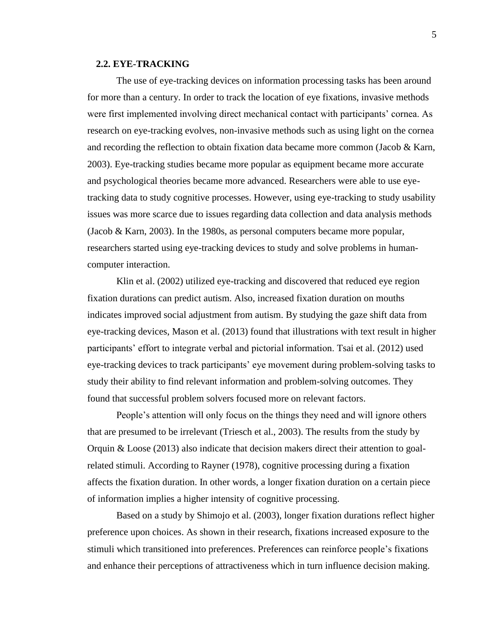## **2.2. EYE-TRACKING**

The use of eye-tracking devices on information processing tasks has been around for more than a century. In order to track the location of eye fixations, invasive methods were first implemented involving direct mechanical contact with participants' cornea. As research on eye-tracking evolves, non-invasive methods such as using light on the cornea and recording the reflection to obtain fixation data became more common (Jacob & Karn, 2003). Eye-tracking studies became more popular as equipment became more accurate and psychological theories became more advanced. Researchers were able to use eyetracking data to study cognitive processes. However, using eye-tracking to study usability issues was more scarce due to issues regarding data collection and data analysis methods (Jacob & Karn, 2003). In the 1980s, as personal computers became more popular, researchers started using eye-tracking devices to study and solve problems in humancomputer interaction.

Klin et al. (2002) utilized eye-tracking and discovered that reduced eye region fixation durations can predict autism. Also, increased fixation duration on mouths indicates improved social adjustment from autism. By studying the gaze shift data from eye-tracking devices, Mason et al. (2013) found that illustrations with text result in higher participants' effort to integrate verbal and pictorial information. Tsai et al. (2012) used eye-tracking devices to track participants' eye movement during problem-solving tasks to study their ability to find relevant information and problem-solving outcomes. They found that successful problem solvers focused more on relevant factors.

People's attention will only focus on the things they need and will ignore others that are presumed to be irrelevant (Triesch et al., 2003). The results from the study by Orquin & Loose (2013) also indicate that decision makers direct their attention to goalrelated stimuli. According to Rayner (1978), cognitive processing during a fixation affects the fixation duration. In other words, a longer fixation duration on a certain piece of information implies a higher intensity of cognitive processing.

Based on a study by Shimojo et al. (2003), longer fixation durations reflect higher preference upon choices. As shown in their research, fixations increased exposure to the stimuli which transitioned into preferences. Preferences can reinforce people's fixations and enhance their perceptions of attractiveness which in turn influence decision making.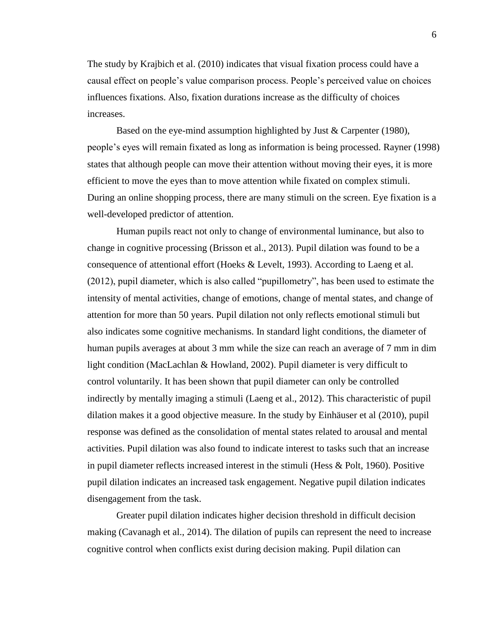The study by Krajbich et al. (2010) indicates that visual fixation process could have a causal effect on people's value comparison process. People's perceived value on choices influences fixations. Also, fixation durations increase as the difficulty of choices increases.

Based on the eye-mind assumption highlighted by Just & Carpenter (1980), people's eyes will remain fixated as long as information is being processed. Rayner (1998) states that although people can move their attention without moving their eyes, it is more efficient to move the eyes than to move attention while fixated on complex stimuli. During an online shopping process, there are many stimuli on the screen. Eye fixation is a well-developed predictor of attention.

Human pupils react not only to change of environmental luminance, but also to change in cognitive processing (Brisson et al., 2013). Pupil dilation was found to be a consequence of attentional effort (Hoeks & Levelt, 1993). According to Laeng et al. (2012), pupil diameter, which is also called "pupillometry", has been used to estimate the intensity of mental activities, change of emotions, change of mental states, and change of attention for more than 50 years. Pupil dilation not only reflects emotional stimuli but also indicates some cognitive mechanisms. In standard light conditions, the diameter of human pupils averages at about 3 mm while the size can reach an average of 7 mm in dim light condition (MacLachlan & Howland, 2002). Pupil diameter is very difficult to control voluntarily. It has been shown that pupil diameter can only be controlled indirectly by mentally imaging a stimuli (Laeng et al., 2012). This characteristic of pupil dilation makes it a good objective measure. In the study by Einhäuser et al (2010), pupil response was defined as the consolidation of mental states related to arousal and mental activities. Pupil dilation was also found to indicate interest to tasks such that an increase in pupil diameter reflects increased interest in the stimuli (Hess & Polt, 1960). Positive pupil dilation indicates an increased task engagement. Negative pupil dilation indicates disengagement from the task.

Greater pupil dilation indicates higher decision threshold in difficult decision making (Cavanagh et al., 2014). The dilation of pupils can represent the need to increase cognitive control when conflicts exist during decision making. Pupil dilation can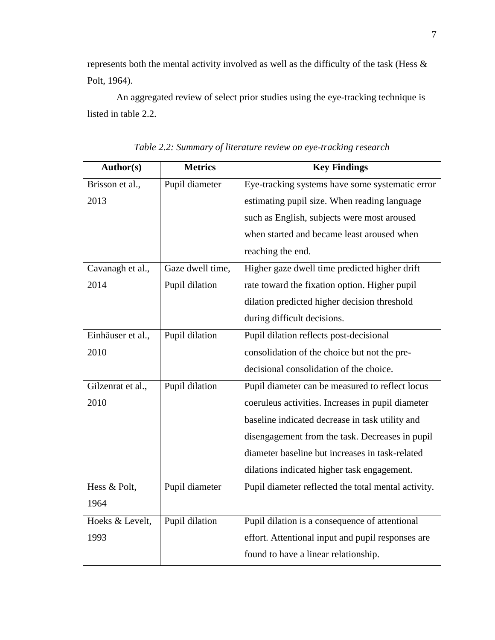represents both the mental activity involved as well as the difficulty of the task (Hess & Polt, 1964).

An aggregated review of select prior studies using the eye-tracking technique is listed in table 2.2.

| Author(s)         | <b>Metrics</b>   | <b>Key Findings</b>                                 |
|-------------------|------------------|-----------------------------------------------------|
| Brisson et al.,   | Pupil diameter   | Eye-tracking systems have some systematic error     |
| 2013              |                  | estimating pupil size. When reading language        |
|                   |                  | such as English, subjects were most aroused         |
|                   |                  | when started and became least aroused when          |
|                   |                  | reaching the end.                                   |
| Cavanagh et al.,  | Gaze dwell time, | Higher gaze dwell time predicted higher drift       |
| 2014              | Pupil dilation   | rate toward the fixation option. Higher pupil       |
|                   |                  | dilation predicted higher decision threshold        |
|                   |                  | during difficult decisions.                         |
| Einhäuser et al., | Pupil dilation   | Pupil dilation reflects post-decisional             |
| 2010              |                  | consolidation of the choice but not the pre-        |
|                   |                  | decisional consolidation of the choice.             |
| Gilzenrat et al., | Pupil dilation   | Pupil diameter can be measured to reflect locus     |
| 2010              |                  | coeruleus activities. Increases in pupil diameter   |
|                   |                  | baseline indicated decrease in task utility and     |
|                   |                  | disengagement from the task. Decreases in pupil     |
|                   |                  | diameter baseline but increases in task-related     |
|                   |                  | dilations indicated higher task engagement.         |
| Hess & Polt,      | Pupil diameter   | Pupil diameter reflected the total mental activity. |
| 1964              |                  |                                                     |
| Hoeks & Levelt,   | Pupil dilation   | Pupil dilation is a consequence of attentional      |
| 1993              |                  | effort. Attentional input and pupil responses are   |
|                   |                  | found to have a linear relationship.                |

*Table 2.2: Summary of literature review on eye-tracking research*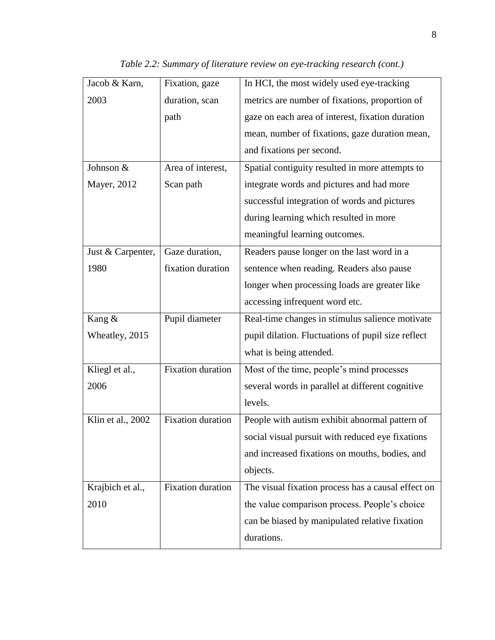| Jacob & Karn,     | Fixation, gaze           | In HCI, the most widely used eye-tracking          |  |  |
|-------------------|--------------------------|----------------------------------------------------|--|--|
| 2003              | duration, scan           | metrics are number of fixations, proportion of     |  |  |
|                   | path                     | gaze on each area of interest, fixation duration   |  |  |
|                   |                          | mean, number of fixations, gaze duration mean,     |  |  |
|                   |                          | and fixations per second.                          |  |  |
| Johnson &         | Area of interest,        | Spatial contiguity resulted in more attempts to    |  |  |
| Mayer, 2012       | Scan path                | integrate words and pictures and had more          |  |  |
|                   |                          | successful integration of words and pictures       |  |  |
|                   |                          | during learning which resulted in more             |  |  |
|                   |                          | meaningful learning outcomes.                      |  |  |
| Just & Carpenter, | Gaze duration,           | Readers pause longer on the last word in a         |  |  |
| 1980              | fixation duration        | sentence when reading. Readers also pause          |  |  |
|                   |                          | longer when processing loads are greater like      |  |  |
|                   |                          | accessing infrequent word etc.                     |  |  |
|                   |                          |                                                    |  |  |
| Kang &            | Pupil diameter           | Real-time changes in stimulus salience motivate    |  |  |
| Wheatley, 2015    |                          | pupil dilation. Fluctuations of pupil size reflect |  |  |
|                   |                          | what is being attended.                            |  |  |
| Kliegl et al.,    | <b>Fixation</b> duration | Most of the time, people's mind processes          |  |  |
| 2006              |                          | several words in parallel at different cognitive   |  |  |
|                   |                          | levels.                                            |  |  |
| Klin et al., 2002 | <b>Fixation</b> duration | People with autism exhibit abnormal pattern of     |  |  |
|                   |                          | social visual pursuit with reduced eye fixations   |  |  |
|                   |                          | and increased fixations on mouths, bodies, and     |  |  |
|                   |                          | objects.                                           |  |  |
| Krajbich et al.,  | <b>Fixation</b> duration | The visual fixation process has a causal effect on |  |  |
| 2010              |                          | the value comparison process. People's choice      |  |  |
|                   |                          | can be biased by manipulated relative fixation     |  |  |

*Table 2.2: Summary of literature review on eye-tracking research (cont.)*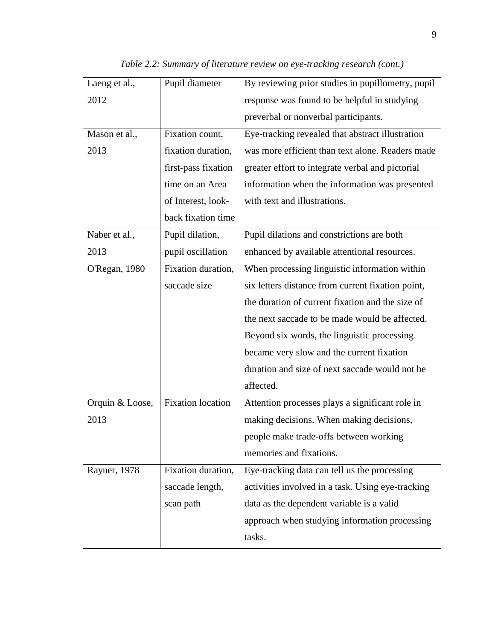| Laeng et al.,   | Pupil diameter           | By reviewing prior studies in pupillometry, pupil |  |  |
|-----------------|--------------------------|---------------------------------------------------|--|--|
| 2012            |                          | response was found to be helpful in studying      |  |  |
|                 |                          | preverbal or nonverbal participants.              |  |  |
| Mason et al.,   | Fixation count,          | Eye-tracking revealed that abstract illustration  |  |  |
| 2013            | fixation duration,       | was more efficient than text alone. Readers made  |  |  |
|                 | first-pass fixation      | greater effort to integrate verbal and pictorial  |  |  |
|                 | time on an Area          | information when the information was presented    |  |  |
|                 | of Interest, look-       | with text and illustrations.                      |  |  |
|                 | back fixation time       |                                                   |  |  |
| Naber et al.,   | Pupil dilation,          | Pupil dilations and constrictions are both        |  |  |
| 2013            | pupil oscillation        | enhanced by available attentional resources.      |  |  |
| O'Regan, 1980   | Fixation duration,       | When processing linguistic information within     |  |  |
|                 | saccade size             | six letters distance from current fixation point, |  |  |
|                 |                          | the duration of current fixation and the size of  |  |  |
|                 |                          | the next saccade to be made would be affected.    |  |  |
|                 |                          | Beyond six words, the linguistic processing       |  |  |
|                 |                          | became very slow and the current fixation         |  |  |
|                 |                          | duration and size of next saccade would not be    |  |  |
|                 |                          | affected.                                         |  |  |
| Orquin & Loose, | <b>Fixation</b> location | Attention processes plays a significant role in   |  |  |
| 2013            |                          | making decisions. When making decisions,          |  |  |
|                 |                          | people make trade-offs between working            |  |  |
|                 |                          | memories and fixations.                           |  |  |
| Rayner, 1978    | Fixation duration,       | Eye-tracking data can tell us the processing      |  |  |
|                 | saccade length,          | activities involved in a task. Using eye-tracking |  |  |
|                 | scan path                | data as the dependent variable is a valid         |  |  |
|                 |                          | approach when studying information processing     |  |  |
|                 |                          | tasks.                                            |  |  |

*Table 2.2: Summary of literature review on eye-tracking research (cont.)*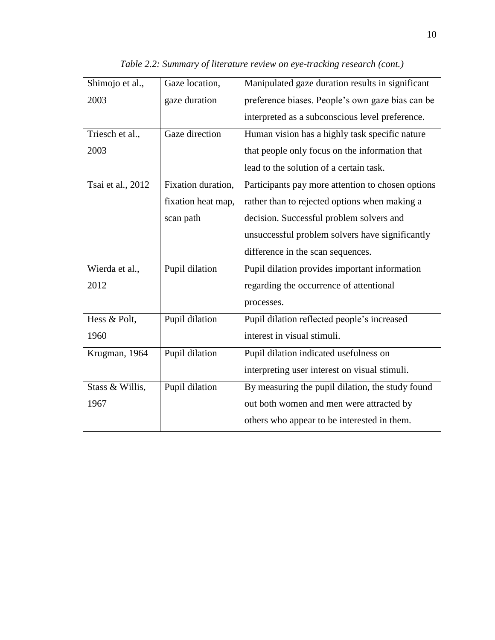| Shimojo et al.,   | Gaze location,     | Manipulated gaze duration results in significant  |  |
|-------------------|--------------------|---------------------------------------------------|--|
| 2003              | gaze duration      | preference biases. People's own gaze bias can be  |  |
|                   |                    | interpreted as a subconscious level preference.   |  |
| Triesch et al.,   | Gaze direction     | Human vision has a highly task specific nature    |  |
| 2003              |                    | that people only focus on the information that    |  |
|                   |                    | lead to the solution of a certain task.           |  |
| Tsai et al., 2012 | Fixation duration, | Participants pay more attention to chosen options |  |
|                   | fixation heat map, | rather than to rejected options when making a     |  |
|                   | scan path          | decision. Successful problem solvers and          |  |
|                   |                    | unsuccessful problem solvers have significantly   |  |
|                   |                    | difference in the scan sequences.                 |  |
| Wierda et al.,    | Pupil dilation     | Pupil dilation provides important information     |  |
| 2012              |                    | regarding the occurrence of attentional           |  |
|                   |                    | processes.                                        |  |
| Hess & Polt,      | Pupil dilation     | Pupil dilation reflected people's increased       |  |
| 1960              |                    | interest in visual stimuli.                       |  |
| Krugman, 1964     | Pupil dilation     | Pupil dilation indicated usefulness on            |  |
|                   |                    | interpreting user interest on visual stimuli.     |  |
| Stass & Willis,   | Pupil dilation     | By measuring the pupil dilation, the study found  |  |
| 1967              |                    | out both women and men were attracted by          |  |
|                   |                    | others who appear to be interested in them.       |  |

*Table 2.2: Summary of literature review on eye-tracking research (cont.)*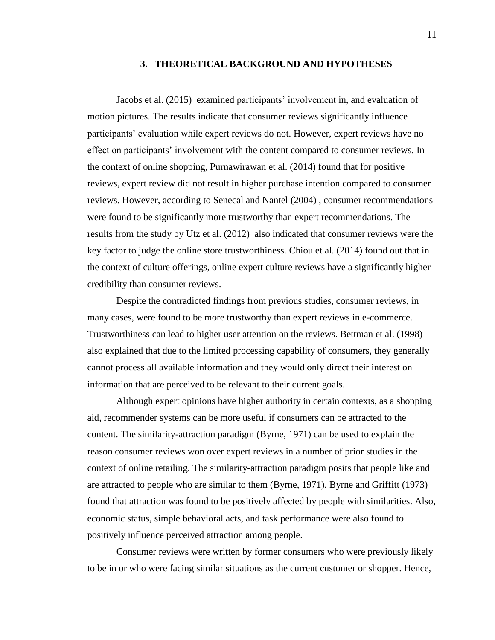#### **3. THEORETICAL BACKGROUND AND HYPOTHESES**

Jacobs et al. (2015) examined participants' involvement in, and evaluation of motion pictures. The results indicate that consumer reviews significantly influence participants' evaluation while expert reviews do not. However, expert reviews have no effect on participants' involvement with the content compared to consumer reviews. In the context of online shopping, Purnawirawan et al. (2014) found that for positive reviews, expert review did not result in higher purchase intention compared to consumer reviews. However, according to Senecal and Nantel (2004) , consumer recommendations were found to be significantly more trustworthy than expert recommendations. The results from the study by Utz et al. (2012) also indicated that consumer reviews were the key factor to judge the online store trustworthiness. Chiou et al. (2014) found out that in the context of culture offerings, online expert culture reviews have a significantly higher credibility than consumer reviews.

Despite the contradicted findings from previous studies, consumer reviews, in many cases, were found to be more trustworthy than expert reviews in e-commerce. Trustworthiness can lead to higher user attention on the reviews. Bettman et al. (1998) also explained that due to the limited processing capability of consumers, they generally cannot process all available information and they would only direct their interest on information that are perceived to be relevant to their current goals.

Although expert opinions have higher authority in certain contexts, as a shopping aid, recommender systems can be more useful if consumers can be attracted to the content. The similarity-attraction paradigm (Byrne, 1971) can be used to explain the reason consumer reviews won over expert reviews in a number of prior studies in the context of online retailing. The similarity-attraction paradigm posits that people like and are attracted to people who are similar to them (Byrne, 1971). Byrne and Griffitt (1973) found that attraction was found to be positively affected by people with similarities. Also, economic status, simple behavioral acts, and task performance were also found to positively influence perceived attraction among people.

Consumer reviews were written by former consumers who were previously likely to be in or who were facing similar situations as the current customer or shopper. Hence,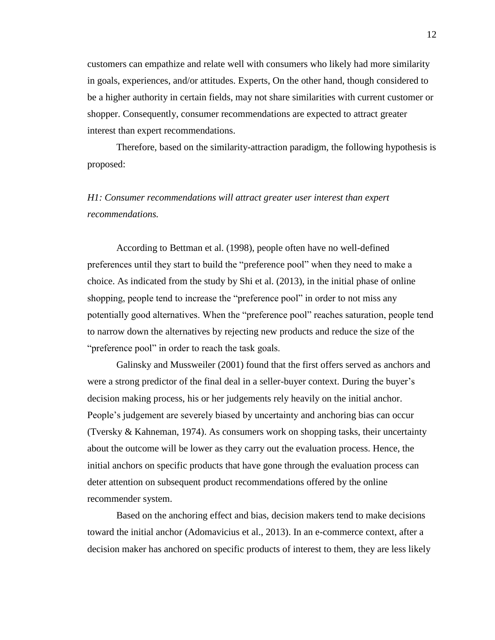customers can empathize and relate well with consumers who likely had more similarity in goals, experiences, and/or attitudes. Experts, On the other hand, though considered to be a higher authority in certain fields, may not share similarities with current customer or shopper. Consequently, consumer recommendations are expected to attract greater interest than expert recommendations.

Therefore, based on the similarity-attraction paradigm, the following hypothesis is proposed:

# *H1: Consumer recommendations will attract greater user interest than expert recommendations.*

According to Bettman et al. (1998), people often have no well-defined preferences until they start to build the "preference pool" when they need to make a choice. As indicated from the study by Shi et al. (2013), in the initial phase of online shopping, people tend to increase the "preference pool" in order to not miss any potentially good alternatives. When the "preference pool" reaches saturation, people tend to narrow down the alternatives by rejecting new products and reduce the size of the "preference pool" in order to reach the task goals.

Galinsky and Mussweiler (2001) found that the first offers served as anchors and were a strong predictor of the final deal in a seller-buyer context. During the buyer's decision making process, his or her judgements rely heavily on the initial anchor. People's judgement are severely biased by uncertainty and anchoring bias can occur (Tversky & Kahneman, 1974). As consumers work on shopping tasks, their uncertainty about the outcome will be lower as they carry out the evaluation process. Hence, the initial anchors on specific products that have gone through the evaluation process can deter attention on subsequent product recommendations offered by the online recommender system.

Based on the anchoring effect and bias, decision makers tend to make decisions toward the initial anchor (Adomavicius et al., 2013). In an e-commerce context, after a decision maker has anchored on specific products of interest to them, they are less likely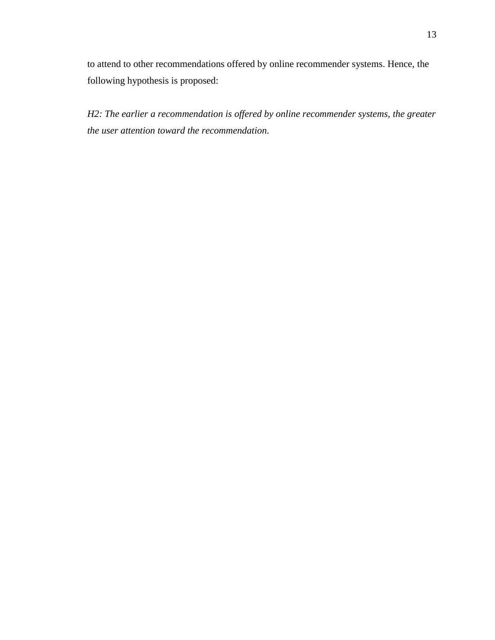to attend to other recommendations offered by online recommender systems. Hence, the following hypothesis is proposed:

*H2: The earlier a recommendation is offered by online recommender systems, the greater the user attention toward the recommendation.*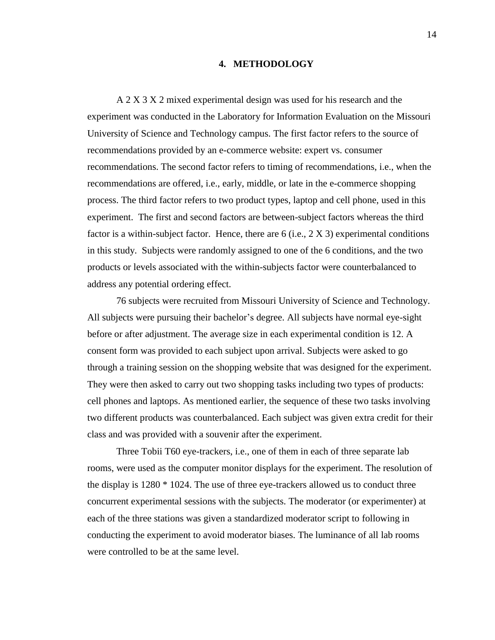#### **4. METHODOLOGY**

A 2 X 3 X 2 mixed experimental design was used for his research and the experiment was conducted in the Laboratory for Information Evaluation on the Missouri University of Science and Technology campus. The first factor refers to the source of recommendations provided by an e-commerce website: expert vs. consumer recommendations. The second factor refers to timing of recommendations, i.e., when the recommendations are offered, i.e., early, middle, or late in the e-commerce shopping process. The third factor refers to two product types, laptop and cell phone, used in this experiment. The first and second factors are between-subject factors whereas the third factor is a within-subject factor. Hence, there are 6 (i.e.,  $2 \text{ X } 3$ ) experimental conditions in this study. Subjects were randomly assigned to one of the 6 conditions, and the two products or levels associated with the within-subjects factor were counterbalanced to address any potential ordering effect.

76 subjects were recruited from Missouri University of Science and Technology. All subjects were pursuing their bachelor's degree. All subjects have normal eye-sight before or after adjustment. The average size in each experimental condition is 12. A consent form was provided to each subject upon arrival. Subjects were asked to go through a training session on the shopping website that was designed for the experiment. They were then asked to carry out two shopping tasks including two types of products: cell phones and laptops. As mentioned earlier, the sequence of these two tasks involving two different products was counterbalanced. Each subject was given extra credit for their class and was provided with a souvenir after the experiment.

Three Tobii T60 eye-trackers, i.e., one of them in each of three separate lab rooms, were used as the computer monitor displays for the experiment. The resolution of the display is 1280 \* 1024. The use of three eye-trackers allowed us to conduct three concurrent experimental sessions with the subjects. The moderator (or experimenter) at each of the three stations was given a standardized moderator script to following in conducting the experiment to avoid moderator biases. The luminance of all lab rooms were controlled to be at the same level.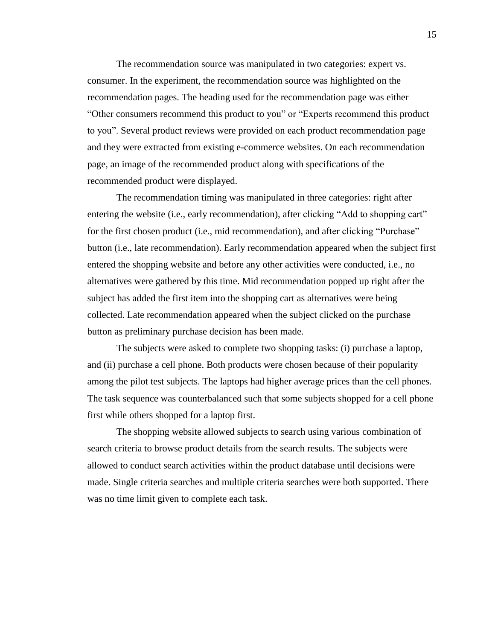The recommendation source was manipulated in two categories: expert vs. consumer. In the experiment, the recommendation source was highlighted on the recommendation pages. The heading used for the recommendation page was either "Other consumers recommend this product to you" or "Experts recommend this product to you". Several product reviews were provided on each product recommendation page and they were extracted from existing e-commerce websites. On each recommendation page, an image of the recommended product along with specifications of the recommended product were displayed.

The recommendation timing was manipulated in three categories: right after entering the website (i.e., early recommendation), after clicking "Add to shopping cart" for the first chosen product (i.e., mid recommendation), and after clicking "Purchase" button (i.e., late recommendation). Early recommendation appeared when the subject first entered the shopping website and before any other activities were conducted, i.e., no alternatives were gathered by this time. Mid recommendation popped up right after the subject has added the first item into the shopping cart as alternatives were being collected. Late recommendation appeared when the subject clicked on the purchase button as preliminary purchase decision has been made.

The subjects were asked to complete two shopping tasks: (i) purchase a laptop, and (ii) purchase a cell phone. Both products were chosen because of their popularity among the pilot test subjects. The laptops had higher average prices than the cell phones. The task sequence was counterbalanced such that some subjects shopped for a cell phone first while others shopped for a laptop first.

The shopping website allowed subjects to search using various combination of search criteria to browse product details from the search results. The subjects were allowed to conduct search activities within the product database until decisions were made. Single criteria searches and multiple criteria searches were both supported. There was no time limit given to complete each task.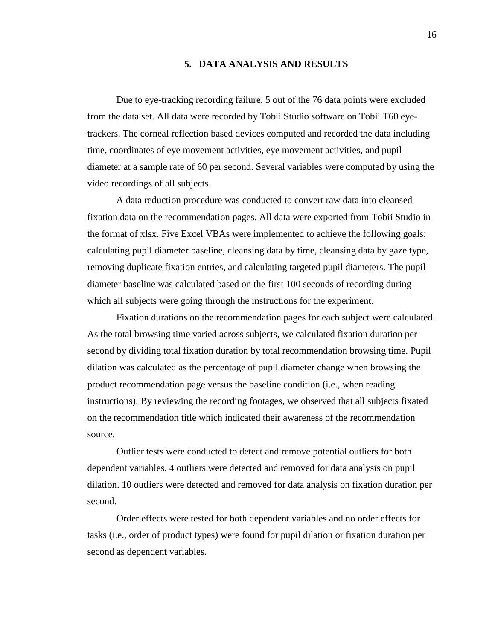## **5. DATA ANALYSIS AND RESULTS**

Due to eye-tracking recording failure, 5 out of the 76 data points were excluded from the data set. All data were recorded by Tobii Studio software on Tobii T60 eyetrackers. The corneal reflection based devices computed and recorded the data including time, coordinates of eye movement activities, eye movement activities, and pupil diameter at a sample rate of 60 per second. Several variables were computed by using the video recordings of all subjects.

A data reduction procedure was conducted to convert raw data into cleansed fixation data on the recommendation pages. All data were exported from Tobii Studio in the format of xlsx. Five Excel VBAs were implemented to achieve the following goals: calculating pupil diameter baseline, cleansing data by time, cleansing data by gaze type, removing duplicate fixation entries, and calculating targeted pupil diameters. The pupil diameter baseline was calculated based on the first 100 seconds of recording during which all subjects were going through the instructions for the experiment.

Fixation durations on the recommendation pages for each subject were calculated. As the total browsing time varied across subjects, we calculated fixation duration per second by dividing total fixation duration by total recommendation browsing time. Pupil dilation was calculated as the percentage of pupil diameter change when browsing the product recommendation page versus the baseline condition (i.e., when reading instructions). By reviewing the recording footages, we observed that all subjects fixated on the recommendation title which indicated their awareness of the recommendation source.

Outlier tests were conducted to detect and remove potential outliers for both dependent variables. 4 outliers were detected and removed for data analysis on pupil dilation. 10 outliers were detected and removed for data analysis on fixation duration per second.

Order effects were tested for both dependent variables and no order effects for tasks (i.e., order of product types) were found for pupil dilation or fixation duration per second as dependent variables.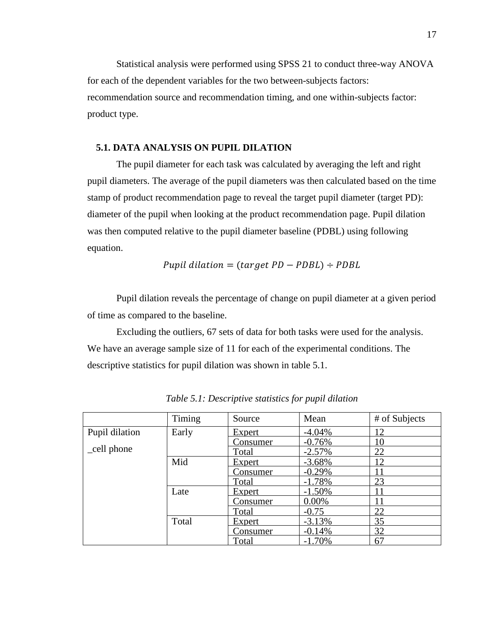Statistical analysis were performed using SPSS 21 to conduct three-way ANOVA for each of the dependent variables for the two between-subjects factors: recommendation source and recommendation timing, and one within-subjects factor: product type.

## **5.1. DATA ANALYSIS ON PUPIL DILATION**

The pupil diameter for each task was calculated by averaging the left and right pupil diameters. The average of the pupil diameters was then calculated based on the time stamp of product recommendation page to reveal the target pupil diameter (target PD): diameter of the pupil when looking at the product recommendation page. Pupil dilation was then computed relative to the pupil diameter baseline (PDBL) using following equation.

$$
Pupil\ dilation = (target\ PD - PDBL) \div PDBL
$$

Pupil dilation reveals the percentage of change on pupil diameter at a given period of time as compared to the baseline.

Excluding the outliers, 67 sets of data for both tasks were used for the analysis. We have an average sample size of 11 for each of the experimental conditions. The descriptive statistics for pupil dilation was shown in table 5.1.

|                | Timing | Source          | Mean     | # of Subjects |
|----------------|--------|-----------------|----------|---------------|
| Pupil dilation | Early  | Expert          | $-4.04%$ | 12            |
|                |        | Consumer        | $-0.76%$ | 10            |
| _cell phone    |        | Total           | $-2.57%$ | 22            |
|                | Mid    | Expert          | $-3.68%$ | 12            |
|                |        | Consumer        | $-0.29%$ |               |
|                |        | Total           | $-1.78%$ | 23            |
|                | Late   | Expert          | $-1.50%$ | 11            |
|                |        | <u>Consumer</u> | $0.00\%$ |               |
|                |        | Total           | $-0.75$  | 22            |
|                | Total  | Expert          | $-3.13%$ | 35            |
|                |        | Consumer        | $-0.14%$ | 32            |
|                |        | Total           | $-1.70%$ | 67            |

*Table 5.1: Descriptive statistics for pupil dilation*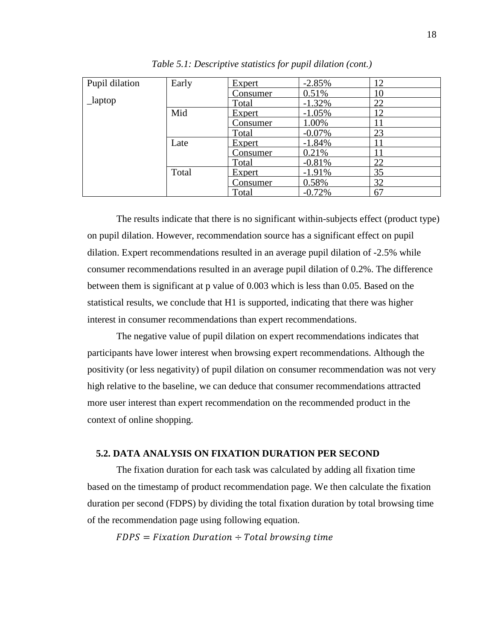| Pupil dilation | Early | Expert          | $-2.85%$ | 12 |
|----------------|-------|-----------------|----------|----|
|                |       | <u>Consumer</u> | 0.51%    | 10 |
| $\_\$ {laptop  |       | Total           | $-1.32%$ | 22 |
|                | Mid   | Expert          | $-1.05%$ | 12 |
|                |       | Consumer        | 1.00%    |    |
|                |       | Total           | $-0.07%$ | 23 |
|                | Late  | Expert          | $-1.84%$ | 11 |
|                |       | <u>Consumer</u> | 0.21%    |    |
|                |       | Total           | $-0.81%$ | 22 |
|                | Total | Expert          | $-1.91%$ | 35 |
|                |       | <u>Consumer</u> | 0.58%    | 32 |
|                |       | Total           | $-0.72%$ | 67 |

*Table 5.1: Descriptive statistics for pupil dilation (cont.)*

The results indicate that there is no significant within-subjects effect (product type) on pupil dilation. However, recommendation source has a significant effect on pupil dilation. Expert recommendations resulted in an average pupil dilation of -2.5% while consumer recommendations resulted in an average pupil dilation of 0.2%. The difference between them is significant at p value of 0.003 which is less than 0.05. Based on the statistical results, we conclude that H1 is supported, indicating that there was higher interest in consumer recommendations than expert recommendations.

The negative value of pupil dilation on expert recommendations indicates that participants have lower interest when browsing expert recommendations. Although the positivity (or less negativity) of pupil dilation on consumer recommendation was not very high relative to the baseline, we can deduce that consumer recommendations attracted more user interest than expert recommendation on the recommended product in the context of online shopping.

# **5.2. DATA ANALYSIS ON FIXATION DURATION PER SECOND**

The fixation duration for each task was calculated by adding all fixation time based on the timestamp of product recommendation page. We then calculate the fixation duration per second (FDPS) by dividing the total fixation duration by total browsing time of the recommendation page using following equation.

 $FDFS = Fixation\;Duration \div Total\; browsing\; time$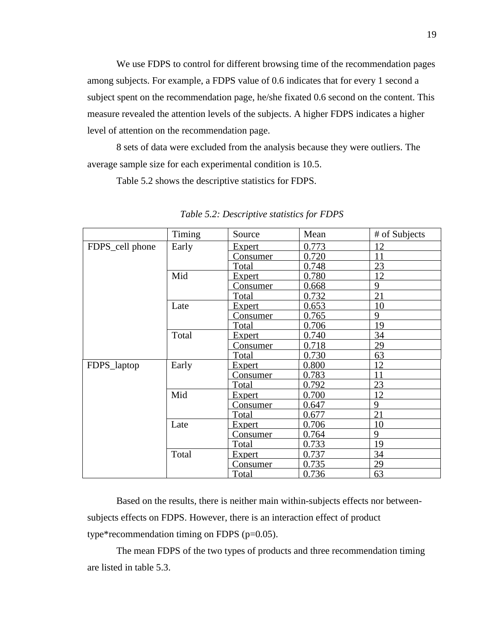We use FDPS to control for different browsing time of the recommendation pages among subjects. For example, a FDPS value of 0.6 indicates that for every 1 second a subject spent on the recommendation page, he/she fixated 0.6 second on the content. This measure revealed the attention levels of the subjects. A higher FDPS indicates a higher level of attention on the recommendation page.

8 sets of data were excluded from the analysis because they were outliers. The average sample size for each experimental condition is 10.5.

Table 5.2 shows the descriptive statistics for FDPS.

|                 | Timing | Source          | Mean  | # of Subjects |
|-----------------|--------|-----------------|-------|---------------|
| FDPS_cell phone | Early  | Expert          | 0.773 | 12            |
|                 |        | <u>Consumer</u> | 0.720 | 11            |
|                 |        | <b>Total</b>    | 0.748 | 23            |
|                 | Mid    | <b>Expert</b>   | 0.780 | 12            |
|                 |        | Consumer        | 0.668 | 9             |
|                 |        | Total           | 0.732 | 21            |
|                 | Late   | Expert          | 0.653 | 10            |
|                 |        | Consumer        | 0.765 | 9             |
|                 |        | <b>Total</b>    | 0.706 | 19            |
|                 | Total  | Expert          | 0.740 | 34            |
|                 |        | <b>Consumer</b> | 0.718 | 29            |
|                 |        | Total           | 0.730 | 63            |
| FDPS_laptop     | Early  | <b>Expert</b>   | 0.800 | 12            |
|                 |        | <u>Consumer</u> | 0.783 | 11            |
|                 |        | <b>Total</b>    | 0.792 | 23            |
|                 | Mid    | Expert          | 0.700 | 12            |
|                 |        | Consumer        | 0.647 | 9             |
|                 |        | Total           | 0.677 | 21            |
|                 | Late   | Expert          | 0.706 | 10            |
|                 |        | <b>Consumer</b> | 0.764 | 9             |
|                 |        | Total           | 0.733 | 19            |
|                 | Total  | <b>Expert</b>   | 0.737 | 34            |
|                 |        | <b>Consumer</b> | 0.735 | 29            |
|                 |        | <b>Total</b>    | 0.736 | 63            |

*Table 5.2: Descriptive statistics for FDPS*

Based on the results, there is neither main within-subjects effects nor betweensubjects effects on FDPS. However, there is an interaction effect of product type\*recommendation timing on FDPS (p=0.05).

The mean FDPS of the two types of products and three recommendation timing are listed in table 5.3.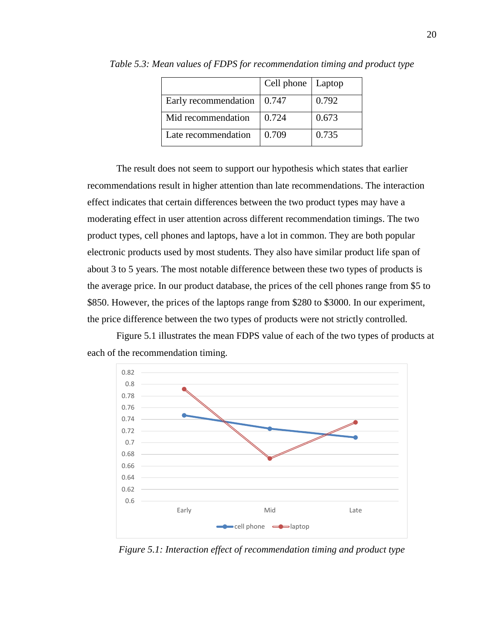|                      | Cell phone   Laptop |       |
|----------------------|---------------------|-------|
| Early recommendation | 0.747               | 0.792 |
| Mid recommendation   | 0.724               | 0.673 |
| Late recommendation  | 0.709               | 0.735 |

*Table 5.3: Mean values of FDPS for recommendation timing and product type*

The result does not seem to support our hypothesis which states that earlier recommendations result in higher attention than late recommendations. The interaction effect indicates that certain differences between the two product types may have a moderating effect in user attention across different recommendation timings. The two product types, cell phones and laptops, have a lot in common. They are both popular electronic products used by most students. They also have similar product life span of about 3 to 5 years. The most notable difference between these two types of products is the average price. In our product database, the prices of the cell phones range from \$5 to \$850. However, the prices of the laptops range from \$280 to \$3000. In our experiment, the price difference between the two types of products were not strictly controlled.

Figure 5.1 illustrates the mean FDPS value of each of the two types of products at each of the recommendation timing.



<span id="page-27-0"></span>*Figure 5.1: Interaction effect of recommendation timing and product type*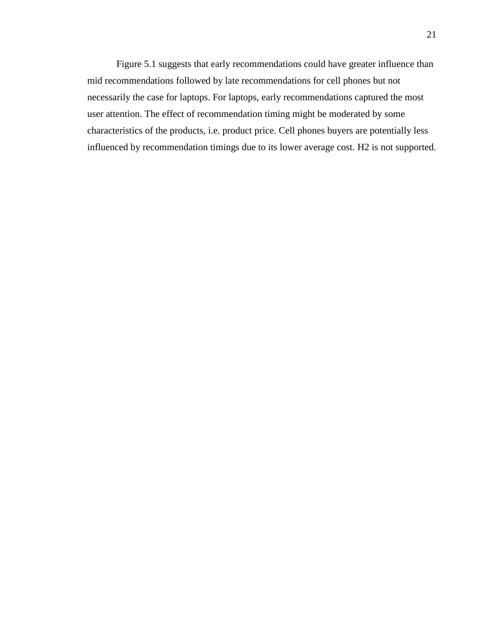Figure 5.1 suggests that early recommendations could have greater influence than mid recommendations followed by late recommendations for cell phones but not necessarily the case for laptops. For laptops, early recommendations captured the most user attention. The effect of recommendation timing might be moderated by some characteristics of the products, i.e. product price. Cell phones buyers are potentially less influenced by recommendation timings due to its lower average cost. H2 is not supported.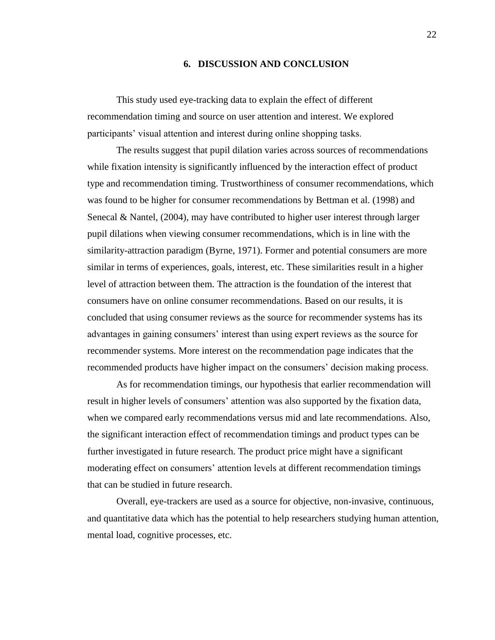## **6. DISCUSSION AND CONCLUSION**

This study used eye-tracking data to explain the effect of different recommendation timing and source on user attention and interest. We explored participants' visual attention and interest during online shopping tasks.

The results suggest that pupil dilation varies across sources of recommendations while fixation intensity is significantly influenced by the interaction effect of product type and recommendation timing. Trustworthiness of consumer recommendations, which was found to be higher for consumer recommendations by Bettman et al. (1998) and Senecal & Nantel, (2004), may have contributed to higher user interest through larger pupil dilations when viewing consumer recommendations, which is in line with the similarity-attraction paradigm (Byrne, 1971). Former and potential consumers are more similar in terms of experiences, goals, interest, etc. These similarities result in a higher level of attraction between them. The attraction is the foundation of the interest that consumers have on online consumer recommendations. Based on our results, it is concluded that using consumer reviews as the source for recommender systems has its advantages in gaining consumers' interest than using expert reviews as the source for recommender systems. More interest on the recommendation page indicates that the recommended products have higher impact on the consumers' decision making process.

As for recommendation timings, our hypothesis that earlier recommendation will result in higher levels of consumers' attention was also supported by the fixation data, when we compared early recommendations versus mid and late recommendations. Also, the significant interaction effect of recommendation timings and product types can be further investigated in future research. The product price might have a significant moderating effect on consumers' attention levels at different recommendation timings that can be studied in future research.

Overall, eye-trackers are used as a source for objective, non-invasive, continuous, and quantitative data which has the potential to help researchers studying human attention, mental load, cognitive processes, etc.

22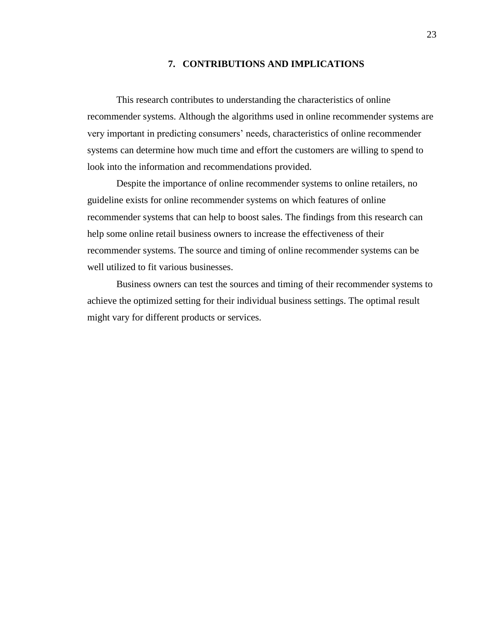## **7. CONTRIBUTIONS AND IMPLICATIONS**

This research contributes to understanding the characteristics of online recommender systems. Although the algorithms used in online recommender systems are very important in predicting consumers' needs, characteristics of online recommender systems can determine how much time and effort the customers are willing to spend to look into the information and recommendations provided.

Despite the importance of online recommender systems to online retailers, no guideline exists for online recommender systems on which features of online recommender systems that can help to boost sales. The findings from this research can help some online retail business owners to increase the effectiveness of their recommender systems. The source and timing of online recommender systems can be well utilized to fit various businesses.

Business owners can test the sources and timing of their recommender systems to achieve the optimized setting for their individual business settings. The optimal result might vary for different products or services.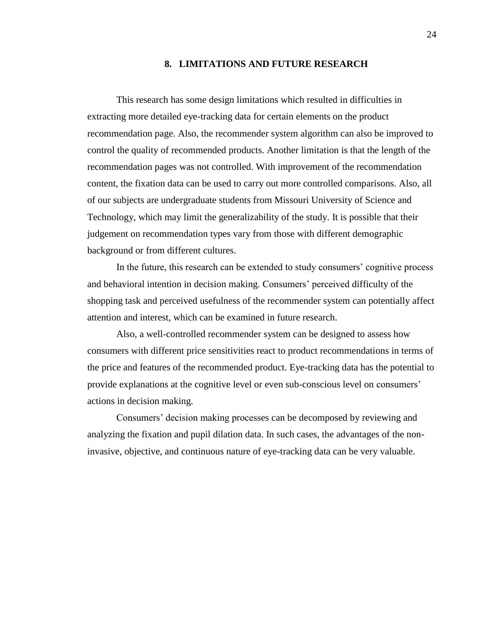#### **8. LIMITATIONS AND FUTURE RESEARCH**

This research has some design limitations which resulted in difficulties in extracting more detailed eye-tracking data for certain elements on the product recommendation page. Also, the recommender system algorithm can also be improved to control the quality of recommended products. Another limitation is that the length of the recommendation pages was not controlled. With improvement of the recommendation content, the fixation data can be used to carry out more controlled comparisons. Also, all of our subjects are undergraduate students from Missouri University of Science and Technology, which may limit the generalizability of the study. It is possible that their judgement on recommendation types vary from those with different demographic background or from different cultures.

In the future, this research can be extended to study consumers' cognitive process and behavioral intention in decision making. Consumers' perceived difficulty of the shopping task and perceived usefulness of the recommender system can potentially affect attention and interest, which can be examined in future research.

Also, a well-controlled recommender system can be designed to assess how consumers with different price sensitivities react to product recommendations in terms of the price and features of the recommended product. Eye-tracking data has the potential to provide explanations at the cognitive level or even sub-conscious level on consumers' actions in decision making.

Consumers' decision making processes can be decomposed by reviewing and analyzing the fixation and pupil dilation data. In such cases, the advantages of the noninvasive, objective, and continuous nature of eye-tracking data can be very valuable.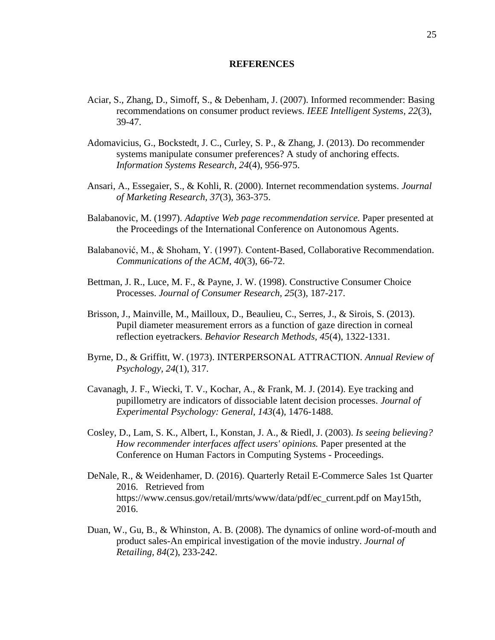## **REFERENCES**

- Aciar, S., Zhang, D., Simoff, S., & Debenham, J. (2007). Informed recommender: Basing recommendations on consumer product reviews. *IEEE Intelligent Systems, 22*(3), 39-47.
- Adomavicius, G., Bockstedt, J. C., Curley, S. P., & Zhang, J. (2013). Do recommender systems manipulate consumer preferences? A study of anchoring effects. *Information Systems Research, 24*(4), 956-975.
- Ansari, A., Essegaier, S., & Kohli, R. (2000). Internet recommendation systems. *Journal of Marketing Research, 37*(3), 363-375.
- Balabanovic, M. (1997). *Adaptive Web page recommendation service.* Paper presented at the Proceedings of the International Conference on Autonomous Agents.
- Balabanović, M., & Shoham, Y. (1997). Content-Based, Collaborative Recommendation. *Communications of the ACM, 40*(3), 66-72.
- Bettman, J. R., Luce, M. F., & Payne, J. W. (1998). Constructive Consumer Choice Processes. *Journal of Consumer Research, 25*(3), 187-217.
- Brisson, J., Mainville, M., Mailloux, D., Beaulieu, C., Serres, J., & Sirois, S. (2013). Pupil diameter measurement errors as a function of gaze direction in corneal reflection eyetrackers. *Behavior Research Methods, 45*(4), 1322-1331.
- Byrne, D., & Griffitt, W. (1973). INTERPERSONAL ATTRACTION. *Annual Review of Psychology, 24*(1), 317.
- Cavanagh, J. F., Wiecki, T. V., Kochar, A., & Frank, M. J. (2014). Eye tracking and pupillometry are indicators of dissociable latent decision processes. *Journal of Experimental Psychology: General, 143*(4), 1476-1488.
- Cosley, D., Lam, S. K., Albert, I., Konstan, J. A., & Riedl, J. (2003). *Is seeing believing? How recommender interfaces affect users' opinions.* Paper presented at the Conference on Human Factors in Computing Systems - Proceedings.
- DeNale, R., & Weidenhamer, D. (2016). Quarterly Retail E-Commerce Sales 1st Quarter 2016. Retrieved from https://www.census.gov/retail/mrts/www/data/pdf/ec\_current.pdf on May15th, 2016.
- Duan, W., Gu, B., & Whinston, A. B. (2008). The dynamics of online word-of-mouth and product sales-An empirical investigation of the movie industry. *Journal of Retailing, 84*(2), 233-242.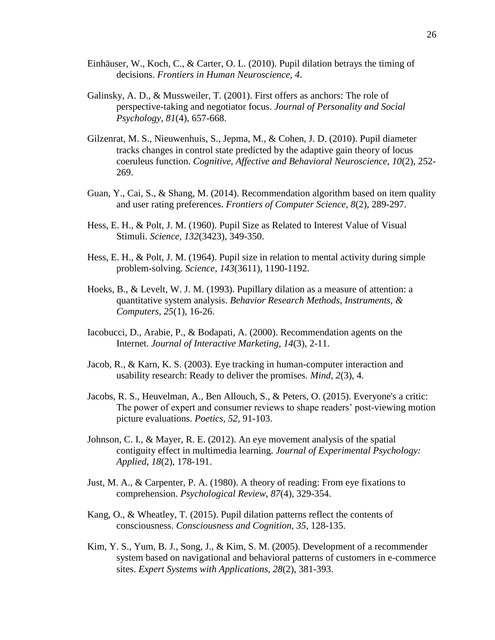- Einhäuser, W., Koch, C., & Carter, O. L. (2010). Pupil dilation betrays the timing of decisions. *Frontiers in Human Neuroscience, 4*.
- Galinsky, A. D., & Mussweiler, T. (2001). First offers as anchors: The role of perspective-taking and negotiator focus. *Journal of Personality and Social Psychology, 81*(4), 657-668.
- Gilzenrat, M. S., Nieuwenhuis, S., Jepma, M., & Cohen, J. D. (2010). Pupil diameter tracks changes in control state predicted by the adaptive gain theory of locus coeruleus function. *Cognitive, Affective and Behavioral Neuroscience, 10*(2), 252- 269.
- Guan, Y., Cai, S., & Shang, M. (2014). Recommendation algorithm based on item quality and user rating preferences. *Frontiers of Computer Science, 8*(2), 289-297.
- Hess, E. H., & Polt, J. M. (1960). Pupil Size as Related to Interest Value of Visual Stimuli. *Science, 132*(3423), 349-350.
- Hess, E. H., & Polt, J. M. (1964). Pupil size in relation to mental activity during simple problem-solving. *Science, 143*(3611), 1190-1192.
- Hoeks, B., & Levelt, W. J. M. (1993). Pupillary dilation as a measure of attention: a quantitative system analysis. *Behavior Research Methods, Instruments, & Computers, 25*(1), 16-26.
- Iacobucci, D., Arabie, P., & Bodapati, A. (2000). Recommendation agents on the Internet. *Journal of Interactive Marketing, 14*(3), 2-11.
- Jacob, R., & Karn, K. S. (2003). Eye tracking in human-computer interaction and usability research: Ready to deliver the promises. *Mind, 2*(3), 4.
- Jacobs, R. S., Heuvelman, A., Ben Allouch, S., & Peters, O. (2015). Everyone's a critic: The power of expert and consumer reviews to shape readers' post-viewing motion picture evaluations. *Poetics, 52*, 91-103.
- Johnson, C. I., & Mayer, R. E. (2012). An eye movement analysis of the spatial contiguity effect in multimedia learning. *Journal of Experimental Psychology: Applied, 18*(2), 178-191.
- Just, M. A., & Carpenter, P. A. (1980). A theory of reading: From eye fixations to comprehension. *Psychological Review, 87*(4), 329-354.
- Kang, O., & Wheatley, T. (2015). Pupil dilation patterns reflect the contents of consciousness. *Consciousness and Cognition, 35*, 128-135.
- Kim, Y. S., Yum, B. J., Song, J., & Kim, S. M. (2005). Development of a recommender system based on navigational and behavioral patterns of customers in e-commerce sites. *Expert Systems with Applications, 28*(2), 381-393.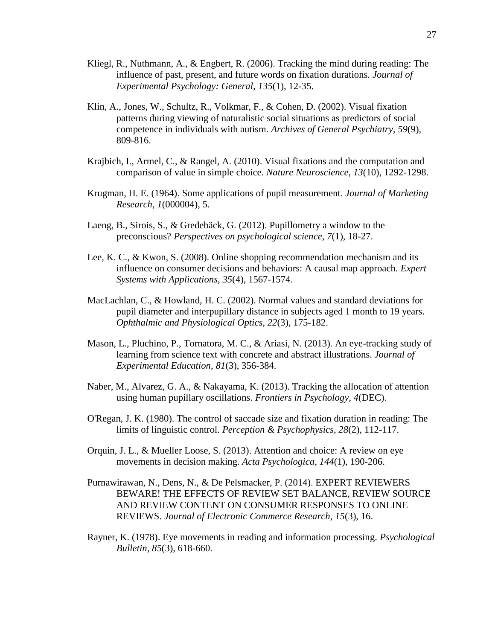- Kliegl, R., Nuthmann, A., & Engbert, R. (2006). Tracking the mind during reading: The influence of past, present, and future words on fixation durations. *Journal of Experimental Psychology: General, 135*(1), 12-35.
- Klin, A., Jones, W., Schultz, R., Volkmar, F., & Cohen, D. (2002). Visual fixation patterns during viewing of naturalistic social situations as predictors of social competence in individuals with autism. *Archives of General Psychiatry, 59*(9), 809-816.
- Krajbich, I., Armel, C., & Rangel, A. (2010). Visual fixations and the computation and comparison of value in simple choice. *Nature Neuroscience, 13*(10), 1292-1298.
- Krugman, H. E. (1964). Some applications of pupil measurement. *Journal of Marketing Research, 1*(000004), 5.
- Laeng, B., Sirois, S., & Gredebäck, G. (2012). Pupillometry a window to the preconscious? *Perspectives on psychological science, 7*(1), 18-27.
- Lee, K. C., & Kwon, S. (2008). Online shopping recommendation mechanism and its influence on consumer decisions and behaviors: A causal map approach. *Expert Systems with Applications, 35*(4), 1567-1574.
- MacLachlan, C., & Howland, H. C. (2002). Normal values and standard deviations for pupil diameter and interpupillary distance in subjects aged 1 month to 19 years. *Ophthalmic and Physiological Optics, 22*(3), 175-182.
- Mason, L., Pluchino, P., Tornatora, M. C., & Ariasi, N. (2013). An eye-tracking study of learning from science text with concrete and abstract illustrations. *Journal of Experimental Education, 81*(3), 356-384.
- Naber, M., Alvarez, G. A., & Nakayama, K. (2013). Tracking the allocation of attention using human pupillary oscillations. *Frontiers in Psychology, 4*(DEC).
- O'Regan, J. K. (1980). The control of saccade size and fixation duration in reading: The limits of linguistic control. *Perception & Psychophysics, 28*(2), 112-117.
- Orquin, J. L., & Mueller Loose, S. (2013). Attention and choice: A review on eye movements in decision making. *Acta Psychologica, 144*(1), 190-206.
- Purnawirawan, N., Dens, N., & De Pelsmacker, P. (2014). EXPERT REVIEWERS BEWARE! THE EFFECTS OF REVIEW SET BALANCE, REVIEW SOURCE AND REVIEW CONTENT ON CONSUMER RESPONSES TO ONLINE REVIEWS. *Journal of Electronic Commerce Research, 15*(3), 16.
- Rayner, K. (1978). Eye movements in reading and information processing. *Psychological Bulletin, 85*(3), 618-660.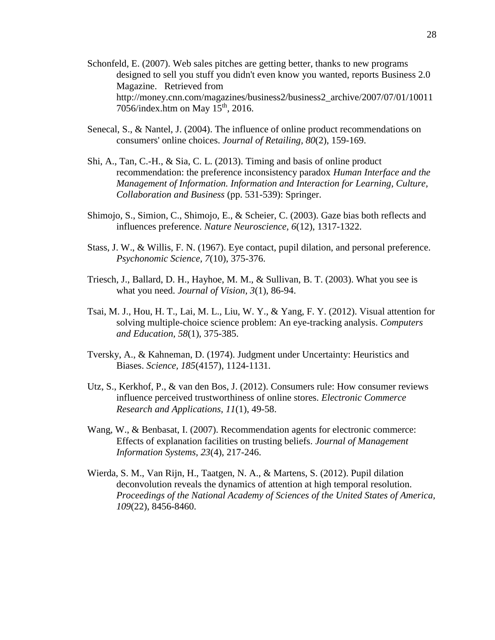- Schonfeld, E. (2007). Web sales pitches are getting better, thanks to new programs designed to sell you stuff you didn't even know you wanted, reports Business 2.0 Magazine. Retrieved from http://money.cnn.com/magazines/business2/business2\_archive/2007/07/01/10011 7056/index.htm on May  $15<sup>th</sup>$ , 2016.
- Senecal, S., & Nantel, J. (2004). The influence of online product recommendations on consumers' online choices. *Journal of Retailing, 80*(2), 159-169.
- Shi, A., Tan, C.-H., & Sia, C. L. (2013). Timing and basis of online product recommendation: the preference inconsistency paradox *Human Interface and the Management of Information. Information and Interaction for Learning, Culture, Collaboration and Business* (pp. 531-539): Springer.
- Shimojo, S., Simion, C., Shimojo, E., & Scheier, C. (2003). Gaze bias both reflects and influences preference. *Nature Neuroscience, 6*(12), 1317-1322.
- Stass, J. W., & Willis, F. N. (1967). Eye contact, pupil dilation, and personal preference. *Psychonomic Science, 7*(10), 375-376.
- Triesch, J., Ballard, D. H., Hayhoe, M. M., & Sullivan, B. T. (2003). What you see is what you need. *Journal of Vision, 3*(1), 86-94.
- Tsai, M. J., Hou, H. T., Lai, M. L., Liu, W. Y., & Yang, F. Y. (2012). Visual attention for solving multiple-choice science problem: An eye-tracking analysis. *Computers and Education, 58*(1), 375-385.
- Tversky, A., & Kahneman, D. (1974). Judgment under Uncertainty: Heuristics and Biases. *Science, 185*(4157), 1124-1131.
- Utz, S., Kerkhof, P., & van den Bos, J. (2012). Consumers rule: How consumer reviews influence perceived trustworthiness of online stores. *Electronic Commerce Research and Applications, 11*(1), 49-58.
- Wang, W., & Benbasat, I. (2007). Recommendation agents for electronic commerce: Effects of explanation facilities on trusting beliefs. *Journal of Management Information Systems, 23*(4), 217-246.
- Wierda, S. M., Van Rijn, H., Taatgen, N. A., & Martens, S. (2012). Pupil dilation deconvolution reveals the dynamics of attention at high temporal resolution. *Proceedings of the National Academy of Sciences of the United States of America, 109*(22), 8456-8460.